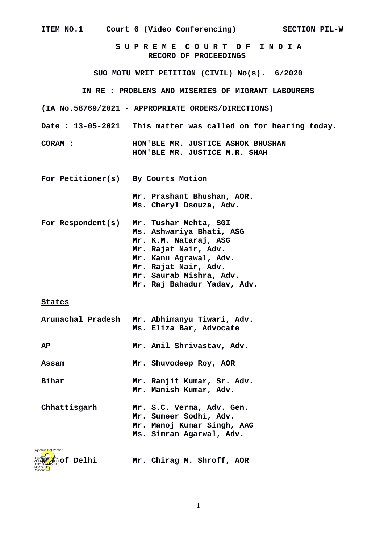| ITEM NO.1                                  | Court 6 (Video Conferencing) SECTION PIL-W                                                                                                                                                                     |
|--------------------------------------------|----------------------------------------------------------------------------------------------------------------------------------------------------------------------------------------------------------------|
|                                            | SUPREME COURT OF INDIA<br><b>RECORD OF PROCEEDINGS</b>                                                                                                                                                         |
|                                            | SUO MOTU WRIT PETITION (CIVIL) No(s). 6/2020                                                                                                                                                                   |
|                                            | IN RE : PROBLEMS AND MISERIES OF MIGRANT LABOURERS                                                                                                                                                             |
|                                            | (IA No.58769/2021 - APPROPRIATE ORDERS/DIRECTIONS)                                                                                                                                                             |
|                                            | Date: 13-05-2021 This matter was called on for hearing today.                                                                                                                                                  |
| <b>CORAM:</b>                              | HON'BLE MR. JUSTICE ASHOK BHUSHAN<br>HON'BLE MR. JUSTICE M.R. SHAH                                                                                                                                             |
| For Petitioner(s) By Courts Motion         |                                                                                                                                                                                                                |
|                                            | Mr. Prashant Bhushan, AOR.<br>Ms. Cheryl Dsouza, Adv.                                                                                                                                                          |
| For Respondent(s)                          | Mr. Tushar Mehta, SGI<br>Ms. Ashwariya Bhati, ASG<br>Mr. K.M. Nataraj, ASG<br>Mr. Rajat Nair, Adv.<br>Mr. Kanu Agrawal, Adv.<br>Mr. Rajat Nair, Adv.<br>Mr. Saurab Mishra, Adv.<br>Mr. Raj Bahadur Yadav, Adv. |
| <b>States</b>                              |                                                                                                                                                                                                                |
| <b>Arunachal Pradesh</b>                   | Mr. Abhimanyu Tiwari, Adv.<br>Ms. Eliza Bar, Advocate                                                                                                                                                          |
| <b>AP</b>                                  | Mr. Anil Shrivastav, Adv.                                                                                                                                                                                      |
| Assam                                      | Mr. Shuvodeep Roy, AOR                                                                                                                                                                                         |
| <b>Bihar</b>                               | Mr. Ranjit Kumar, Sr. Adv.<br>Mr. Manish Kumar, Adv.                                                                                                                                                           |
| Chhattisgarh                               | Mr. S.C. Verma, Adv. Gen.<br>Mr. Sumeer Sodhi, Adv.<br>Mr. Manoj Kumar Singh, AAG<br>Ms. Simran Agarwal, Adv.                                                                                                  |
| Signature Not Verified<br>EN SHOW Of Delhi | Mr. Chirag M. Shroff, AOR                                                                                                                                                                                      |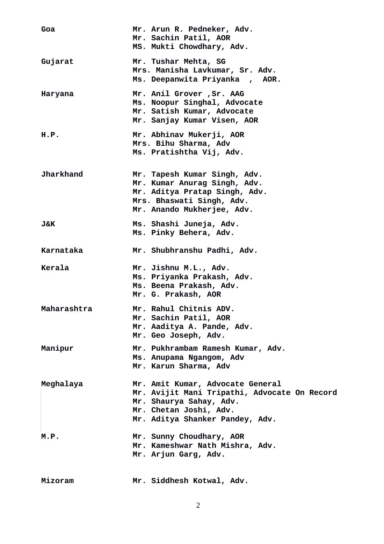| Goa              | Mr. Arun R. Pedneker, Adv.<br>Mr. Sachin Patil, AOR<br>MS. Mukti Chowdhary, Adv.                                                                                         |
|------------------|--------------------------------------------------------------------------------------------------------------------------------------------------------------------------|
| Gujarat          | Mr. Tushar Mehta, SG<br>Mrs. Manisha Lavkumar, Sr. Adv.<br>Ms. Deepanwita Priyanka, AOR.                                                                                 |
| Haryana          | Mr. Anil Grover, Sr. AAG<br>Ms. Noopur Singhal, Advocate<br>Mr. Satish Kumar, Advocate<br>Mr. Sanjay Kumar Visen, AOR                                                    |
| H.P.             | Mr. Abhinav Mukerji, AOR<br>Mrs. Bihu Sharma, Adv<br>Ms. Pratishtha Vij, Adv.                                                                                            |
| <b>Jharkhand</b> | Mr. Tapesh Kumar Singh, Adv.<br>Mr. Kumar Anurag Singh, Adv.<br>Mr. Aditya Pratap Singh, Adv.<br>Mrs. Bhaswati Singh, Adv.<br>Mr. Anando Mukherjee, Adv.                 |
| J&K              | Ms. Shashi Juneja, Adv.<br>Ms. Pinky Behera, Adv.                                                                                                                        |
| Karnataka        | Mr. Shubhranshu Padhi, Adv.                                                                                                                                              |
| Kerala           | Mr. Jishnu M.L., Adv.<br>Ms. Priyanka Prakash, Adv.<br>Ms. Beena Prakash, Adv.<br>Mr. G. Prakash, AOR                                                                    |
| Maharashtra      | Mr. Rahul Chitnis ADV.<br>Mr. Sachin Patil, AOR<br>Mr. Aaditya A. Pande, Adv.<br>Mr. Geo Joseph, Adv.                                                                    |
| Manipur          | Mr. Pukhrambam Ramesh Kumar, Adv.<br>Ms. Anupama Ngangom, Adv<br>Mr. Karun Sharma, Adv                                                                                   |
| Meghalaya        | Mr. Amit Kumar, Advocate General<br>Mr. Avijit Mani Tripathi, Advocate On Record<br>Mr. Shaurya Sahay, Adv.<br>Mr. Chetan Joshi, Adv.<br>Mr. Aditya Shanker Pandey, Adv. |
| M.P.             | Mr. Sunny Choudhary, AOR<br>Mr. Kameshwar Nath Mishra, Adv.<br>Mr. Arjun Garg, Adv.                                                                                      |
| Mizoram          | Mr. Siddhesh Kotwal, Adv.                                                                                                                                                |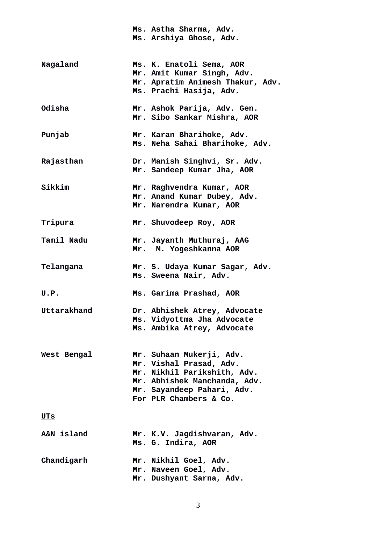|                   | Ms. Astha Sharma, Adv.<br>Ms. Arshiya Ghose, Adv.                                                                                                                          |
|-------------------|----------------------------------------------------------------------------------------------------------------------------------------------------------------------------|
| Nagaland          | Ms. K. Enatoli Sema, AOR<br>Mr. Amit Kumar Singh, Adv.<br>Mr. Apratim Animesh Thakur, Adv.<br>Ms. Prachi Hasija, Adv.                                                      |
| Odisha            | Mr. Ashok Parija, Adv. Gen.<br>Mr. Sibo Sankar Mishra, AOR                                                                                                                 |
| Punjab            | Mr. Karan Bharihoke, Adv.<br>Ms. Neha Sahai Bharihoke, Adv.                                                                                                                |
| Rajasthan         | Dr. Manish Singhvi, Sr. Adv.<br>Mr. Sandeep Kumar Jha, AOR                                                                                                                 |
| <b>Sikkim</b>     | Mr. Raghvendra Kumar, AOR<br>Mr. Anand Kumar Dubey, Adv.<br>Mr. Narendra Kumar, AOR                                                                                        |
| Tripura           | Mr. Shuvodeep Roy, AOR                                                                                                                                                     |
| <b>Tamil Nadu</b> | Mr. Jayanth Muthuraj, AAG<br>Mr. M. Yogeshkanna AOR                                                                                                                        |
| Telangana         | Mr. S. Udaya Kumar Sagar, Adv.<br>Ms. Sweena Nair, Adv.                                                                                                                    |
| U.P.              | Ms. Garima Prashad, AOR                                                                                                                                                    |
| Uttarakhand       | Dr. Abhishek Atrey, Advocate<br>Ms. Vidyottma Jha Advocate<br>Ms. Ambika Atrey, Advocate                                                                                   |
| West Bengal       | Mr. Suhaan Mukerji, Adv.<br>Mr. Vishal Prasad, Adv.<br>Mr. Nikhil Parikshith, Adv.<br>Mr. Abhishek Manchanda, Adv.<br>Mr. Sayandeep Pahari, Adv.<br>For PLR Chambers & Co. |
| <u>UTs</u>        |                                                                                                                                                                            |
| A&N island        | Mr. K.V. Jagdishvaran, Adv.<br>Ms. G. Indira, AOR                                                                                                                          |
| Chandigarh        | Mr. Nikhil Goel, Adv.<br>Mr. Naveen Goel, Adv.<br>Mr. Dushyant Sarna, Adv.                                                                                                 |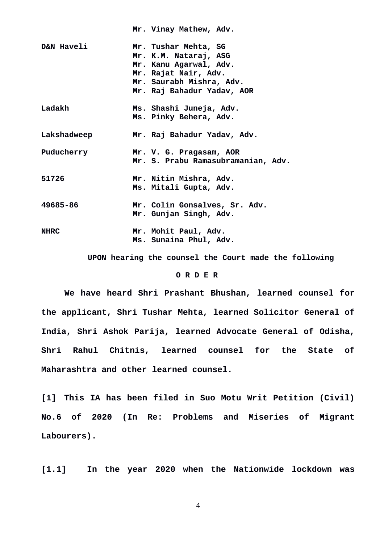|                       | Mr. Vinay Mathew, Adv.                                                                                                                                    |
|-----------------------|-----------------------------------------------------------------------------------------------------------------------------------------------------------|
| <b>D&amp;N Haveli</b> | Mr. Tushar Mehta, SG<br>Mr. K.M. Nataraj, ASG<br>Mr. Kanu Agarwal, Adv.<br>Mr. Rajat Nair, Adv.<br>Mr. Saurabh Mishra, Adv.<br>Mr. Raj Bahadur Yadav, AOR |
| Ladakh                | Ms. Shashi Juneja, Adv.<br>Ms. Pinky Behera, Adv.                                                                                                         |
| Lakshadweep           | Mr. Raj Bahadur Yadav, Adv.                                                                                                                               |
| Puducherry            | Mr. V. G. Pragasam, AOR<br>Mr. S. Prabu Ramasubramanian, Adv.                                                                                             |
| 51726                 | Mr. Nitin Mishra, Adv.<br>Ms. Mitali Gupta, Adv.                                                                                                          |
| 49685-86              | Mr. Colin Gonsalves, Sr. Adv.<br>Mr. Gunjan Singh, Adv.                                                                                                   |
| <b>NHRC</b>           | Mr. Mohit Paul, Adv.<br>Ms. Sunaina Phul, Adv.                                                                                                            |

 **UPON hearing the counsel the Court made the following**

## **O R D E R**

**We have heard Shri Prashant Bhushan, learned counsel for the applicant, Shri Tushar Mehta, learned Solicitor General of India, Shri Ashok Parija, learned Advocate General of Odisha, Shri Rahul Chitnis, learned counsel for the State of Maharashtra and other learned counsel.**

**[1] This IA has been filed in Suo Motu Writ Petition (Civil) No.6 of 2020 (In Re: Problems and Miseries of Migrant Labourers).** 

**[1.1] In the year 2020 when the Nationwide lockdown was**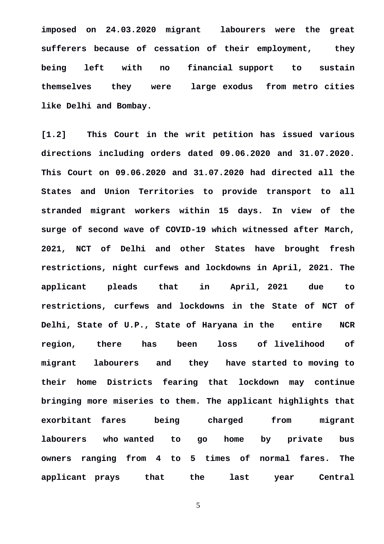**imposed on 24.03.2020 migrant labourers were the great sufferers because of cessation of their employment, they being left with no financial support to sustain themselves they were large exodus from metro cities like Delhi and Bombay.**

**[1.2] This Court in the writ petition has issued various directions including orders dated 09.06.2020 and 31.07.2020. This Court on 09.06.2020 and 31.07.2020 had directed all the States and Union Territories to provide transport to all stranded migrant workers within 15 days. In view of the surge of second wave of COVID-19 which witnessed after March, 2021, NCT of Delhi and other States have brought fresh restrictions, night curfews and lockdowns in April, 2021. The applicant pleads that in April, 2021 due to restrictions, curfews and lockdowns in the State of NCT of Delhi, State of U.P., State of Haryana in the entire NCR region, there has been loss of livelihood of migrant labourers and they have started to moving to their home Districts fearing that lockdown may continue bringing more miseries to them. The applicant highlights that exorbitant fares being charged from migrant labourers who wanted to go home by private bus owners ranging from 4 to 5 times of normal fares. The applicant prays that the last year Central**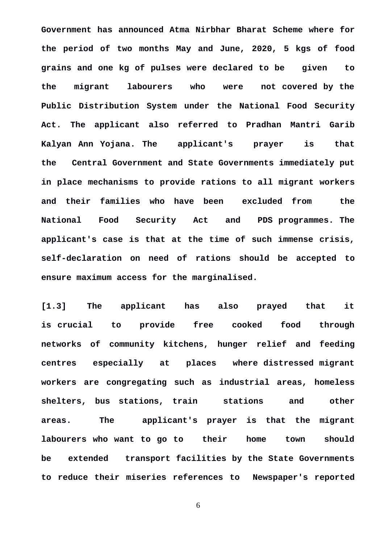**Government has announced Atma Nirbhar Bharat Scheme where for the period of two months May and June, 2020, 5 kgs of food grains and one kg of pulses were declared to be given to the migrant labourers who were not covered by the Public Distribution System under the National Food Security Act. The applicant also referred to Pradhan Mantri Garib Kalyan Ann Yojana. The applicant's prayer is that the Central Government and State Governments immediately put in place mechanisms to provide rations to all migrant workers and their families who have been excluded from the National Food Security Act and PDS programmes. The applicant's case is that at the time of such immense crisis, self-declaration on need of rations should be accepted to ensure maximum access for the marginalised.**

**[1.3] The applicant has also prayed that it is crucial to provide free cooked food through networks of community kitchens, hunger relief and feeding centres especially at places where distressed migrant workers are congregating such as industrial areas, homeless shelters, bus stations, train stations and other areas. The applicant's prayer is that the migrant labourers who want to go to their home town should be extended transport facilities by the State Governments to reduce their miseries references to Newspaper's reported**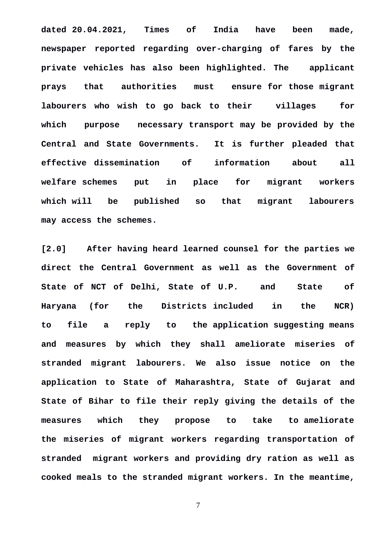**dated 20.04.2021, Times of India have been made, newspaper reported regarding over-charging of fares by the private vehicles has also been highlighted. The applicant prays that authorities must ensure for those migrant labourers who wish to go back to their villages for which purpose necessary transport may be provided by the Central and State Governments. It is further pleaded that effective dissemination of information about all welfare schemes put in place for migrant workers which will be published so that migrant labourers may access the schemes.**

**[2.0] After having heard learned counsel for the parties we direct the Central Government as well as the Government of State of NCT of Delhi, State of U.P. and State of Haryana (for the Districts included in the NCR) to file a reply to the application suggesting means and measures by which they shall ameliorate miseries of stranded migrant labourers. We also issue notice on the application to State of Maharashtra, State of Gujarat and State of Bihar to file their reply giving the details of the measures which they propose to take to ameliorate the miseries of migrant workers regarding transportation of stranded migrant workers and providing dry ration as well as cooked meals to the stranded migrant workers. In the meantime,**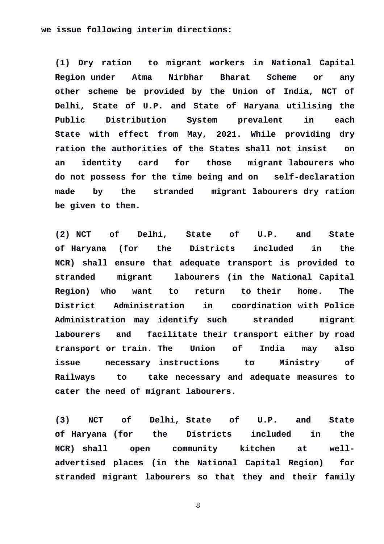## **we issue following interim directions:**

**(1) Dry ration to migrant workers in National Capital Region under Atma Nirbhar Bharat Scheme or any other scheme be provided by the Union of India, NCT of Delhi, State of U.P. and State of Haryana utilising the Public Distribution System prevalent in each State with effect from May, 2021. While providing dry ration the authorities of the States shall not insist on an identity card for those migrant labourers who do not possess for the time being and on self-declaration made by the stranded migrant labourers dry ration be given to them.**

**(2) NCT of Delhi, State of U.P. and State of Haryana (for the Districts included in the NCR) shall ensure that adequate transport is provided to stranded migrant labourers (in the National Capital Region) who want to return to their home. The District Administration in coordination with Police Administration may identify such stranded migrant labourers and facilitate their transport either by road transport or train. The Union of India may also issue necessary instructions to Ministry of Railways to take necessary and adequate measures to cater the need of migrant labourers.**

**(3) NCT of Delhi, State of U.P. and State of Haryana (for the Districts included in the NCR) shall open community kitchen at welladvertised places (in the National Capital Region) for stranded migrant labourers so that they and their family**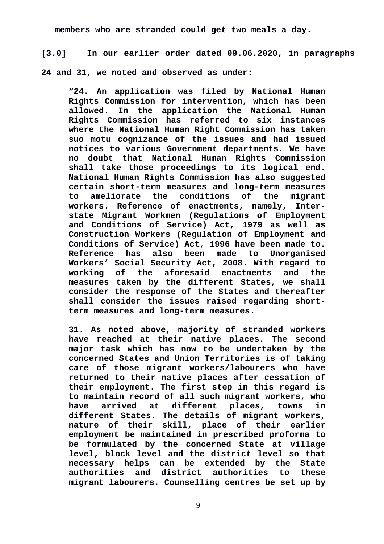**members who are stranded could get two meals a day.**

**[3.0] In our earlier order dated 09.06.2020, in paragraphs**

**24 and 31, we noted and observed as under:**

**"24. An application was filed by National Human Rights Commission for intervention, which has been allowed. In the application the National Human Rights Commission has referred to six instances where the National Human Right Commission has taken suo motu cognizance of the issues and had issued notices to various Government departments. We have no doubt that National Human Rights Commission shall take those proceedings to its logical end. National Human Rights Commission has also suggested certain short-term measures and long-term measures to ameliorate the conditions of the migrant workers. Reference of enactments, namely, Interstate Migrant Workmen (Regulations of Employment and Conditions of Service) Act, 1979 as well as Construction Workers (Regulation of Employment and Conditions of Service) Act, 1996 have been made to. Reference has also been made to Unorganised Workers' Social Security Act, 2008. With regard to working of the aforesaid enactments and the measures taken by the different States, we shall consider the response of the States and thereafter shall consider the issues raised regarding shortterm measures and long-term measures.**

**31. As noted above, majority of stranded workers have reached at their native places. The second major task which has now to be undertaken by the concerned States and Union Territories is of taking care of those migrant workers/labourers who have returned to their native places after cessation of their employment. The first step in this regard is to maintain record of all such migrant workers, who have arrived at different places, towns in different States. The details of migrant workers, nature of their skill, place of their earlier employment be maintained in prescribed proforma to be formulated by the concerned State at village level, block level and the district level so that necessary helps can be extended by the State authorities and district authorities to these migrant labourers. Counselling centres be set up by**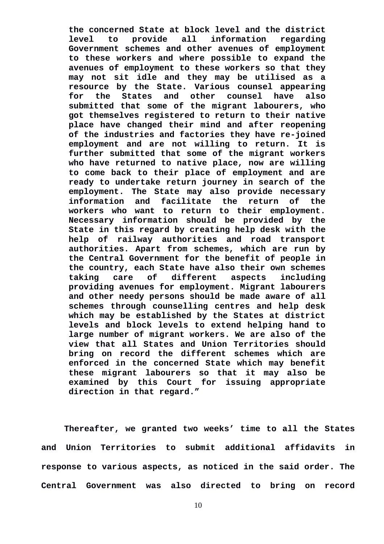**the concerned State at block level and the district level to provide all information regarding Government schemes and other avenues of employment to these workers and where possible to expand the avenues of employment to these workers so that they may not sit idle and they may be utilised as a resource by the State. Various counsel appearing for the States and other counsel have also submitted that some of the migrant labourers, who got themselves registered to return to their native place have changed their mind and after reopening of the industries and factories they have re-joined employment and are not willing to return. It is further submitted that some of the migrant workers who have returned to native place, now are willing to come back to their place of employment and are ready to undertake return journey in search of the employment. The State may also provide necessary information and facilitate the return of the workers who want to return to their employment. Necessary information should be provided by the State in this regard by creating help desk with the help of railway authorities and road transport authorities. Apart from schemes, which are run by the Central Government for the benefit of people in the country, each State have also their own schemes taking care of different aspects including providing avenues for employment. Migrant labourers and other needy persons should be made aware of all schemes through counselling centres and help desk which may be established by the States at district levels and block levels to extend helping hand to large number of migrant workers. We are also of the view that all States and Union Territories should bring on record the different schemes which are enforced in the concerned State which may benefit these migrant labourers so that it may also be examined by this Court for issuing appropriate direction in that regard."**

**Thereafter, we granted two weeks' time to all the States and Union Territories to submit additional affidavits in response to various aspects, as noticed in the said order. The Central Government was also directed to bring on record**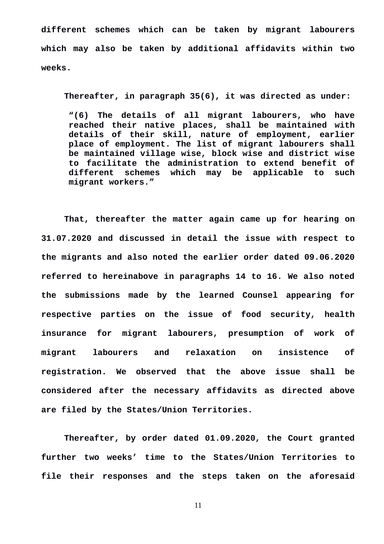**different schemes which can be taken by migrant labourers which may also be taken by additional affidavits within two weeks.** 

**Thereafter, in paragraph 35(6), it was directed as under:**

**"(6) The details of all migrant labourers, who have reached their native places, shall be maintained with details of their skill, nature of employment, earlier place of employment. The list of migrant labourers shall be maintained village wise, block wise and district wise to facilitate the administration to extend benefit of different schemes which may be applicable to such migrant workers."**

**That, thereafter the matter again came up for hearing on 31.07.2020 and discussed in detail the issue with respect to the migrants and also noted the earlier order dated 09.06.2020 referred to hereinabove in paragraphs 14 to 16. We also noted the submissions made by the learned Counsel appearing for respective parties on the issue of food security, health insurance for migrant labourers, presumption of work of migrant labourers and relaxation on insistence of registration. We observed that the above issue shall be considered after the necessary affidavits as directed above are filed by the States/Union Territories.**

**Thereafter, by order dated 01.09.2020, the Court granted further two weeks' time to the States/Union Territories to file their responses and the steps taken on the aforesaid**